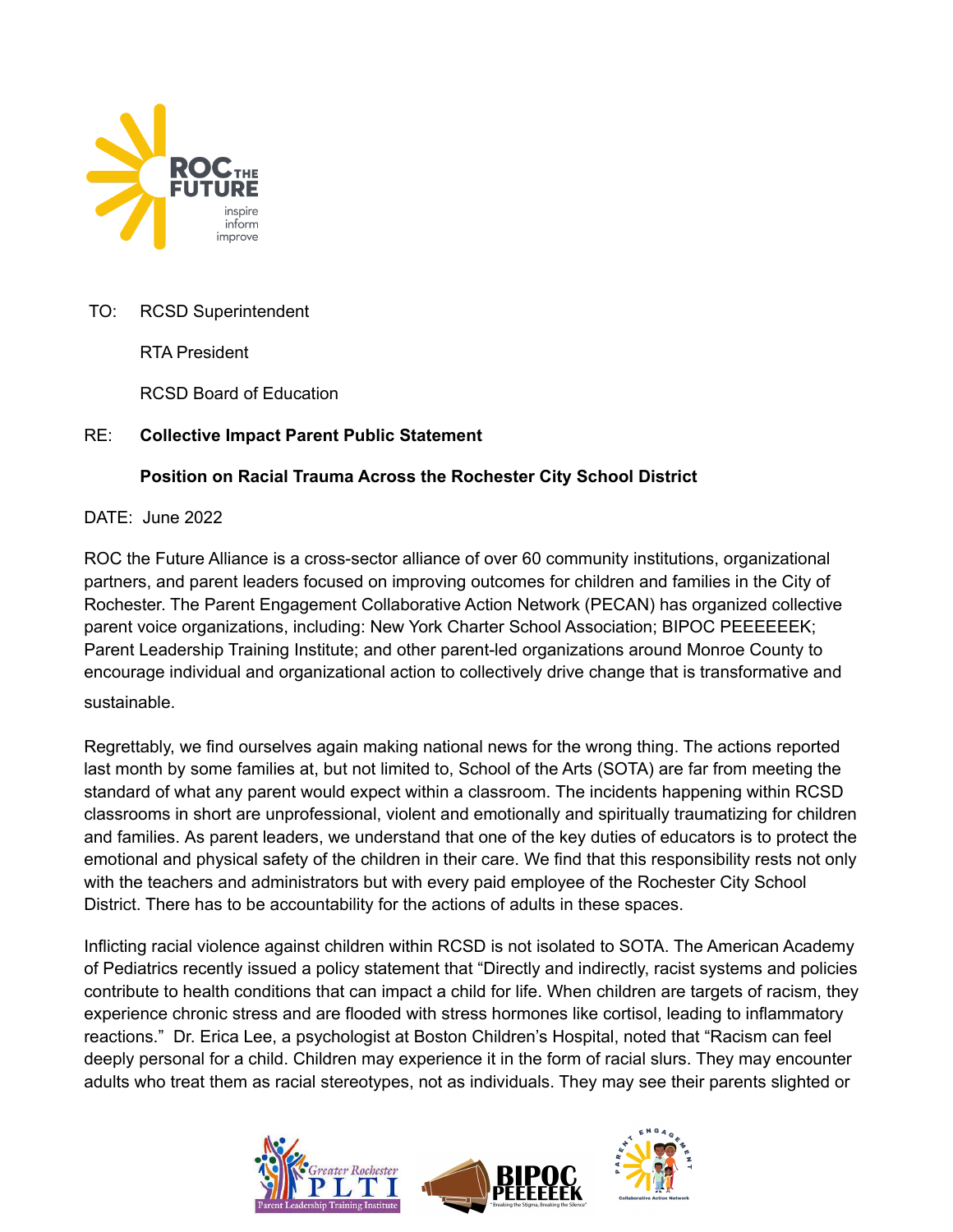

## TO: RCSD Superintendent

RTA President

RCSD Board of Education

## RE: **Collective Impact Parent Public Statement**

## **Position on Racial Trauma Across the Rochester City School District**

## DATE: June 2022

ROC the Future Alliance is a cross-sector alliance of over 60 community institutions, organizational partners, and parent leaders focused on improving outcomes for children and families in the City of Rochester. The Parent Engagement Collaborative Action Network (PECAN) has organized collective parent voice organizations, including: New York Charter School Association; BIPOC PEEEEEEK; Parent Leadership Training Institute; and other parent-led organizations around Monroe County to encourage individual and organizational action to collectively drive change that is transformative and sustainable.

Regrettably, we find ourselves again making national news for the wrong thing. The actions reported last month by some families at, but not limited to, School of the Arts (SOTA) are far from meeting the standard of what any parent would expect within a classroom. The incidents happening within RCSD classrooms in short are unprofessional, violent and emotionally and spiritually traumatizing for children and families. As parent leaders, we understand that one of the key duties of educators is to protect the emotional and physical safety of the children in their care. We find that this responsibility rests not only with the teachers and administrators but with every paid employee of the Rochester City School District. There has to be accountability for the actions of adults in these spaces.

Inflicting racial violence against children within RCSD is not isolated to SOTA. The American Academy of Pediatrics recently issued a policy statement that "Directly and indirectly, racist systems and policies contribute to health conditions that can impact a child for life. When children are targets of racism, they experience chronic stress and are flooded with stress hormones like cortisol, leading to inflammatory reactions." Dr. Erica Lee, a psychologist at Boston Children's Hospital, noted that "Racism can feel deeply personal for a child. Children may experience it in the form of racial slurs. They may encounter adults who treat them as racial stereotypes, not as individuals. They may see their parents slighted or

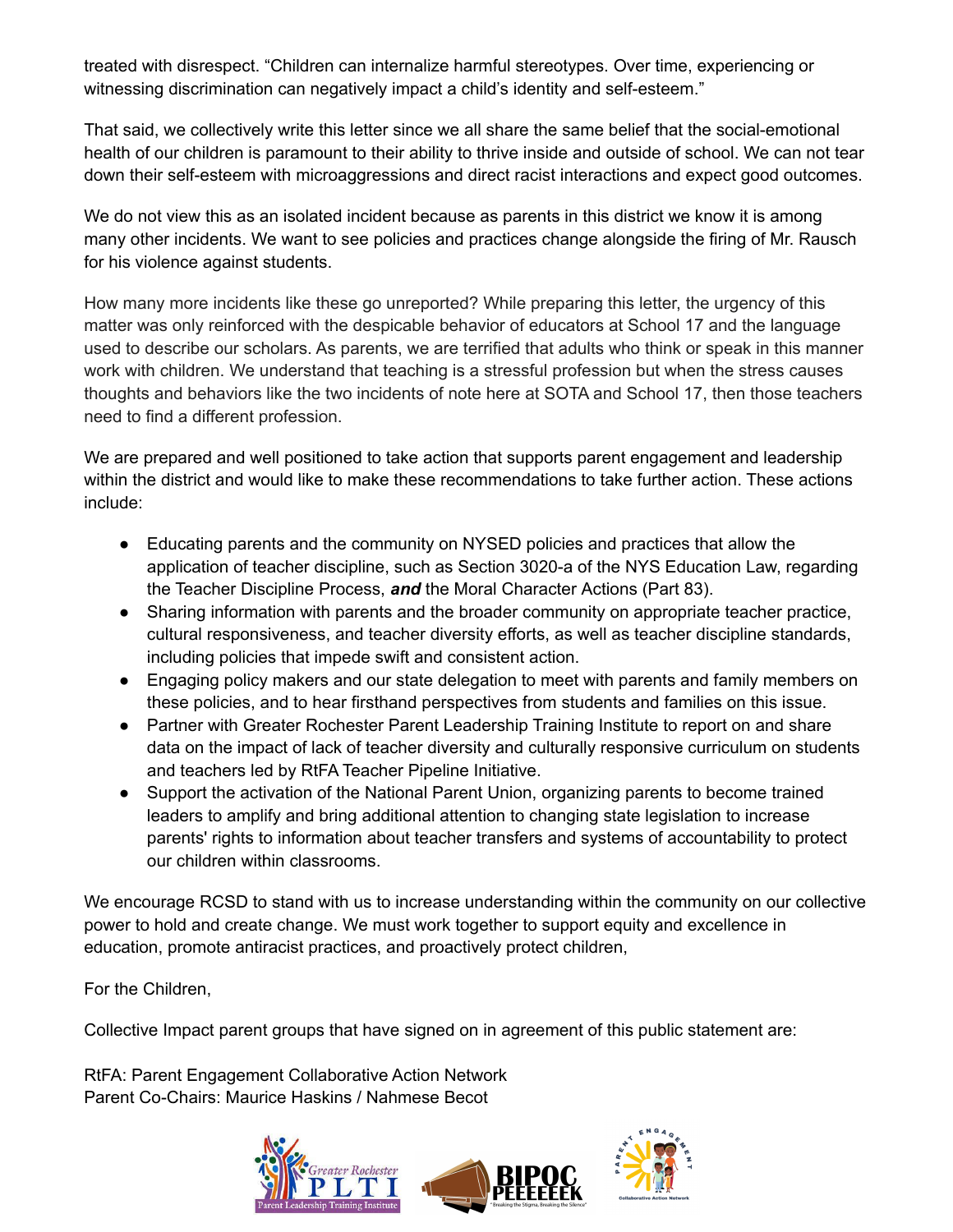treated with disrespect. "Children can internalize harmful stereotypes. Over time, experiencing or witnessing discrimination can negatively impact a child's identity and self-esteem."

That said, we collectively write this letter since we all share the same belief that the social-emotional health of our children is paramount to their ability to thrive inside and outside of school. We can not tear down their self-esteem with microaggressions and direct racist interactions and expect good outcomes.

We do not view this as an isolated incident because as parents in this district we know it is among many other incidents. We want to see policies and practices change alongside the firing of Mr. Rausch for his violence against students.

How many more incidents like these go unreported? While preparing this letter, the urgency of this matter was only reinforced with the despicable behavior of educators at School 17 and the language used to describe our scholars. As parents, we are terrified that adults who think or speak in this manner work with children. We understand that teaching is a stressful profession but when the stress causes thoughts and behaviors like the two incidents of note here at SOTA and School 17, then those teachers need to find a different profession.

We are prepared and well positioned to take action that supports parent engagement and leadership within the district and would like to make these recommendations to take further action. These actions include:

- Educating parents and the community on NYSED policies and practices that allow the application of teacher discipline, such as Section 3020-a of the NYS Education Law, regarding the Teacher Discipline Process, *and* the Moral Character Actions (Part 83).
- Sharing information with parents and the broader community on appropriate teacher practice, cultural responsiveness, and teacher diversity efforts, as well as teacher discipline standards, including policies that impede swift and consistent action.
- Engaging policy makers and our state delegation to meet with parents and family members on these policies, and to hear firsthand perspectives from students and families on this issue.
- Partner with Greater Rochester Parent Leadership Training Institute to report on and share data on the impact of lack of teacher diversity and culturally responsive curriculum on students and teachers led by RtFA Teacher Pipeline Initiative.
- Support the activation of the National Parent Union, organizing parents to become trained leaders to amplify and bring additional attention to changing state legislation to increase parents' rights to information about teacher transfers and systems of accountability to protect our children within classrooms.

We encourage RCSD to stand with us to increase understanding within the community on our collective power to hold and create change. We must work together to support equity and excellence in education, promote antiracist practices, and proactively protect children,

For the Children,

Collective Impact parent groups that have signed on in agreement of this public statement are:

RtFA: Parent Engagement Collaborative Action Network Parent Co-Chairs: Maurice Haskins / Nahmese Becot